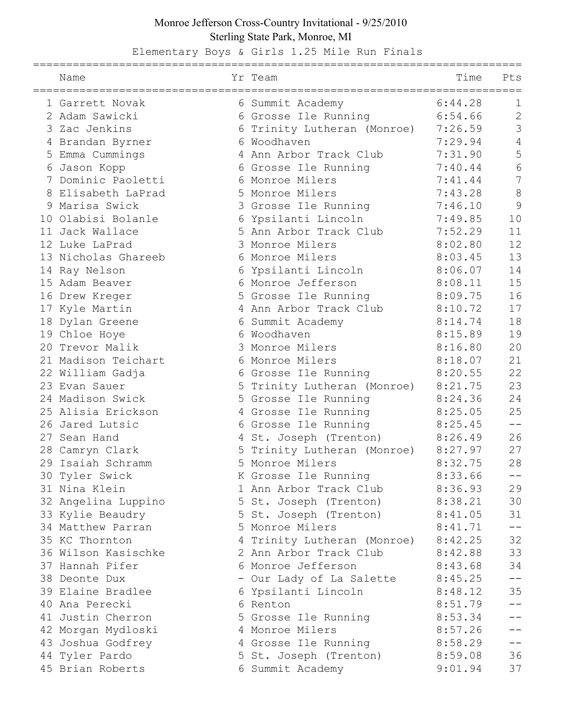## Monroe Jefferson Cross-Country Invitational - 9/25/2010 Sterling State Park, Monroe, MI

Elementary Boys & Girls 1.25 Mile Run Finals

| Name                |   | Yr Team                     | Time    | Pts             |
|---------------------|---|-----------------------------|---------|-----------------|
| 1 Garrett Novak     |   | 6 Summit Academy            | 6:44.28 | 1               |
| 2 Adam Sawicki      | 6 | Grosse Ile Running          | 6:54.66 | $\overline{c}$  |
| 3 Zac Jenkins       |   | 6 Trinity Lutheran (Monroe) | 7:26.59 | 3               |
| 4 Brandan Byrner    |   | 6 Woodhaven                 | 7:29.94 | $\overline{4}$  |
| 5 Emma Cummings     |   | 4 Ann Arbor Track Club      | 7:31.90 | 5               |
| 6 Jason Kopp        |   | 6 Grosse Ile Running        | 7:40.44 | $6\phantom{.}6$ |
| 7 Dominic Paoletti  |   | 6 Monroe Milers             | 7:41.44 | $\overline{7}$  |
| Elisabeth LaPrad    | 5 | Monroe Milers               | 7:43.28 | $\delta$        |
| Marisa Swick        |   | 3 Grosse Ile Running        | 7:46.10 | 9               |
| 10 Olabisi Bolanle  |   | 6 Ypsilanti Lincoln         | 7:49.85 | 10              |
| 11 Jack Wallace     |   | 5 Ann Arbor Track Club      | 7:52.29 | 11              |
| 12 Luke LaPrad      |   | 3 Monroe Milers             | 8:02.80 | 12              |
| 13 Nicholas Ghareeb |   | 6 Monroe Milers             | 8:03.45 | 13              |
| 14 Ray Nelson       | 6 | Ypsilanti Lincoln           | 8:06.07 | 14              |
| 15 Adam Beaver      |   | 6 Monroe Jefferson          | 8:08.11 | 15              |
| 16 Drew Kreger      |   | 5 Grosse Ile Running        | 8:09.75 | 16              |
| 17 Kyle Martin      |   | 4 Ann Arbor Track Club      | 8:10.72 | 17              |
| 18 Dylan Greene     |   | 6 Summit Academy            | 8:14.74 | 18              |
| 19 Chloe Hoye       |   | 6 Woodhaven                 | 8:15.89 | 19              |
| 20 Trevor Malik     |   | Monroe Milers               | 8:16.80 | 20              |
| 21 Madison Teichart |   | 6 Monroe Milers             | 8:18.07 | 21              |
| 22 William Gadja    |   | 6 Grosse Ile Running        | 8:20.55 | 22              |
| 23 Evan Sauer       |   | 5 Trinity Lutheran (Monroe) | 8:21.75 | 23              |
| 24 Madison Swick    |   | 5 Grosse Ile Running        | 8:24.36 | 24              |
| 25 Alisia Erickson  |   | 4 Grosse Ile Running        | 8:25.05 | 25              |
| 26 Jared Lutsic     | 6 | Grosse Ile Running          | 8:25.45 |                 |
| 27 Sean Hand        |   | 4 St. Joseph (Trenton)      | 8:26.49 | 26              |
| 28 Camryn Clark     |   | 5 Trinity Lutheran (Monroe) | 8:27.97 | 27              |
| 29 Isaiah Schramm   |   | 5 Monroe Milers             | 8:32.75 | 28              |
| 30 Tyler Swick      |   | K Grosse Ile Running        | 8:33.66 | --              |
| 31 Nina Klein       |   | 1 Ann Arbor Track Club      | 8:36.93 | 29              |
| 32 Angelina Luppino |   | 5 St. Joseph (Trenton)      | 8:38.21 | 30              |
| 33 Kylie Beaudry    |   | 5 St. Joseph (Trenton)      | 8:41.05 | 31              |
| 34 Matthew Parran   |   | 5 Monroe Milers             | 8:41.71 | $- -$           |
| 35 KC Thornton      |   | 4 Trinity Lutheran (Monroe) | 8:42.25 | 32              |
| 36 Wilson Kasischke |   | 2 Ann Arbor Track Club      | 8:42.88 | 33              |
| 37 Hannah Pifer     |   | 6 Monroe Jefferson          | 8:43.68 | 34              |
| 38 Deonte Dux       |   | - Our Lady of La Salette    | 8:45.25 | $- -$           |
| 39 Elaine Bradlee   |   | 6 Ypsilanti Lincoln         | 8:48.12 | 35              |
| 40 Ana Perecki      |   | 6 Renton                    | 8:51.79 | --              |
| 41 Justin Cherron   |   | 5 Grosse Ile Running        | 8:53.34 | $- -$           |
| 42 Morgan Mydloski  |   | 4 Monroe Milers             | 8:57.26 |                 |
| 43 Joshua Godfrey   |   | 4 Grosse Ile Running        | 8:58.29 | $- -$           |
| 44 Tyler Pardo      |   | 5 St. Joseph (Trenton)      | 8:59.08 | 36              |
| 45 Brian Roberts    |   | 6 Summit Academy            | 9:01.94 | 37              |
|                     |   |                             |         |                 |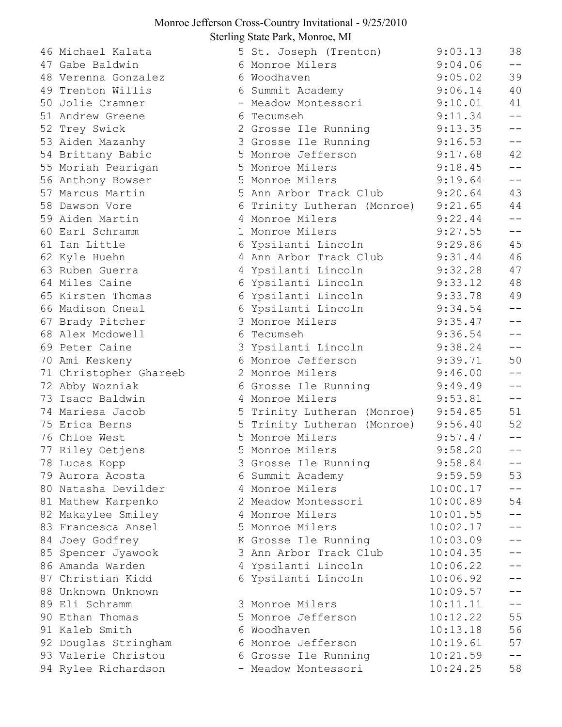## Monroe Jefferson Cross-Country Invitational - 9/25/2010 Sterling State Park, Monroe, MI

46 Michael Kalata 47 Gabe Baldwin 48 Verenna Gonzalez 49 Trenton Willis 50 Jolie Cramner 51 Andrew Greene 52 Trey Swick 53 Aiden Mazanhy 54 Brittany Babic 55 Moriah Pearigan 56 Anthony Bowser 57 Marcus Martin 58 Dawson Vore 59 Aiden Martin 60 Earl Schramm 61 Ian Little 62 Kyle Huehn 63 Ruben Guerra 64 Miles Caine 65 Kirsten Thomas 66 Madison Oneal 67 Brady Pitcher 68 Alex Mcdowell 69 Peter Caine 70 Ami Keskeny 71 Christopher Ghareeb 72 Abby Wozniak 73 Isacc Baldwin 74 Mariesa Jacob 75 Erica Berns 76 Chloe West 77 Riley Oetjens 78 Lucas Kopp 79 Aurora Acosta 80 Natasha Devilder 81 Mathew Karpenko 82 Makaylee Smiley 83 Francesca Ansel 84 Joey Godfrey 85 Spencer Jyawook 86 Amanda Warden 87 Christian Kidd 88 Unknown Unknown 89 Eli Schramm 90 Ethan Thomas 91 Kaleb Smith 92 Douglas Stringham 93 Valerie Christou 94 Rylee Richardson

| $\mu$ g biaic 1 ans, momoc, mi |                                                                                                        |                                                                                                                              |
|--------------------------------|--------------------------------------------------------------------------------------------------------|------------------------------------------------------------------------------------------------------------------------------|
| 5 St. Joseph (Trenton)         | 9:03.13                                                                                                | 38                                                                                                                           |
|                                |                                                                                                        | $ -$                                                                                                                         |
| 6 Woodhaven                    |                                                                                                        | 39                                                                                                                           |
|                                |                                                                                                        | 40                                                                                                                           |
| $\blacksquare$                 |                                                                                                        | 41                                                                                                                           |
| 6 Tecumseh                     |                                                                                                        | $- -$                                                                                                                        |
| $\mathbf{2}$                   | 9:13.35                                                                                                | $- -$                                                                                                                        |
| Grosse Ile Running             | 9:16.53                                                                                                | $ -$                                                                                                                         |
| Monroe Jefferson               | 9:17.68                                                                                                | 42                                                                                                                           |
| Monroe Milers                  | 9:18.45                                                                                                | $- -$                                                                                                                        |
| Monroe Milers                  | 9:19.64                                                                                                | $ -$                                                                                                                         |
|                                | 9:20.64                                                                                                | 43                                                                                                                           |
| Trinity Lutheran (Monroe)      | 9:21.65                                                                                                | 44                                                                                                                           |
| Monroe Milers                  |                                                                                                        | $ -$                                                                                                                         |
| 1<br>Monroe Milers             | 9:27.55                                                                                                | $- -$                                                                                                                        |
| 6 Ypsilanti Lincoln            | 9:29.86                                                                                                | 45                                                                                                                           |
| 4 Ann Arbor Track Club         | 9:31.44                                                                                                | 46                                                                                                                           |
| Ypsilanti Lincoln<br>4         | 9:32.28                                                                                                | 47                                                                                                                           |
| Ypsilanti Lincoln              | 9:33.12                                                                                                | 48                                                                                                                           |
| Ypsilanti Lincoln              | 9:33.78                                                                                                | 49                                                                                                                           |
| 6 Ypsilanti Lincoln            | 9:34.54                                                                                                | $- -$                                                                                                                        |
| 3<br>Monroe Milers             | 9:35.47                                                                                                | $ -$                                                                                                                         |
| 6<br>Tecumseh                  | 9:36.54                                                                                                | $ -$                                                                                                                         |
| 3 Ypsilanti Lincoln            | 9:38.24                                                                                                | $- -$                                                                                                                        |
| Monroe Jefferson               | 9:39.71                                                                                                | 50                                                                                                                           |
| Monroe Milers                  | 9:46.00                                                                                                | $ -$                                                                                                                         |
| 6 Grosse Ile Running           | 9:49.49                                                                                                | $- -$                                                                                                                        |
| Monroe Milers<br>4             | 9:53.81                                                                                                | $\perp$ $\perp$                                                                                                              |
|                                | 9:54.85                                                                                                | 51                                                                                                                           |
|                                | 9:56.40                                                                                                | 52                                                                                                                           |
| Monroe Milers                  | 9:57.47                                                                                                |                                                                                                                              |
| 5 Monroe Milers                | 9:58.20                                                                                                |                                                                                                                              |
| 3<br>Grosse Ile Running        | 9:58.84                                                                                                |                                                                                                                              |
| Summit Academy                 | 9:59.59                                                                                                | 53                                                                                                                           |
| Monroe Milers                  | 10:00.17                                                                                               |                                                                                                                              |
| Meadow Montessori              | 10:00.89                                                                                               | 54                                                                                                                           |
| Monroe Milers                  | 10:01.55                                                                                               |                                                                                                                              |
| Monroe Milers                  | 10:02.17                                                                                               |                                                                                                                              |
| Grosse Ile Running<br>Κ        | 10:03.09                                                                                               | $ -$                                                                                                                         |
| Ann Arbor Track Club           | 10:04.35                                                                                               | $ -$                                                                                                                         |
| Ypsilanti Lincoln              | 10:06.22                                                                                               |                                                                                                                              |
| 6 Ypsilanti Lincoln            | 10:06.92                                                                                               |                                                                                                                              |
|                                | 10:09.57                                                                                               |                                                                                                                              |
| Monroe Milers                  | 10:11.11                                                                                               | $-$                                                                                                                          |
| Monroe Jefferson               | 10:12.22                                                                                               | 55                                                                                                                           |
| Woodhaven                      | 10:13.18                                                                                               | 56                                                                                                                           |
| Monroe Jefferson               | 10:19.61                                                                                               | 57                                                                                                                           |
| Grosse Ile Running             | 10:21.59                                                                                               | $ -$                                                                                                                         |
| Meadow Montessori<br>— ∶       | 10:24.25                                                                                               | 58                                                                                                                           |
|                                | Monroe Milers<br>6 Summit Academy<br>Meadow Montessori<br>Grosse Ile Running<br>5 Ann Arbor Track Club | 9:04.06<br>9:05.02<br>9:06.14<br>9:10.01<br>9:11.34<br>9:22.44<br>5 Trinity Lutheran (Monroe)<br>5 Trinity Lutheran (Monroe) |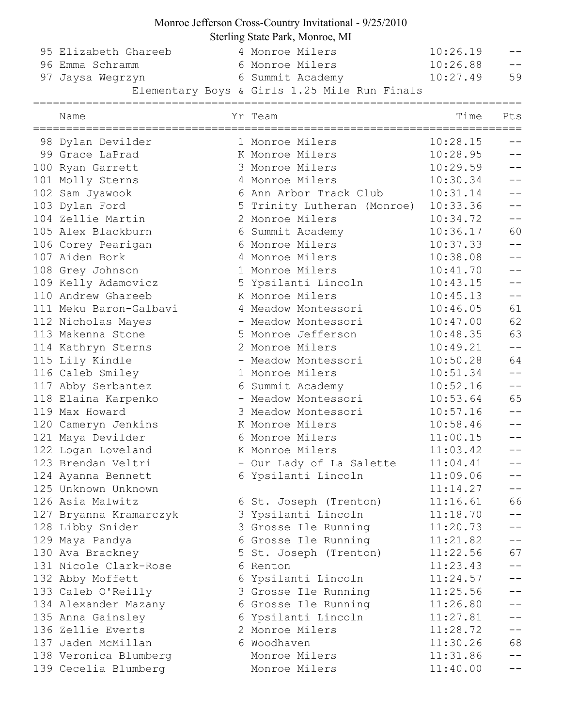## Monroe Jefferson Cross-Country Invitational - 9/25/2010

Sterling State Park, Monroe, MI

| 95 Elizabeth Ghareeb   | 4 Monroe Milers                              | 10:26.19 | $- -$             |
|------------------------|----------------------------------------------|----------|-------------------|
| 96 Emma Schramm        | 6 Monroe Milers                              | 10:26.88 | $- -$             |
| 97 Jaysa Wegrzyn       | 6 Summit Academy 10:27.49                    |          | 59                |
|                        | Elementary Boys & Girls 1.25 Mile Run Finals |          |                   |
| Name                   | Yr Team                                      | Time     | Pts               |
| 98 Dylan Devilder      | 1 Monroe Milers                              | 10:28.15 |                   |
| 99 Grace LaPrad        | K Monroe Milers                              | 10:28.95 | $- -$             |
| 100 Ryan Garrett       | 3 Monroe Milers                              | 10:29.59 | $- -$             |
| 101 Molly Sterns       | 4 Monroe Milers                              | 10:30.34 |                   |
| 102 Sam Jyawook        | 6 Ann Arbor Track Club                       | 10:31.14 |                   |
| 103 Dylan Ford         | 5 Trinity Lutheran (Monroe)                  | 10:33.36 | $\equiv$ $\equiv$ |
| 104 Zellie Martin      | 2 Monroe Milers                              | 10:34.72 | $\equiv$ $\equiv$ |
| 105 Alex Blackburn     | 6 Summit Academy                             | 10:36.17 | 60                |
| 106 Corey Pearigan     | 6 Monroe Milers                              | 10:37.33 | $- -$             |
| 107 Aiden Bork         | 4 Monroe Milers                              | 10:38.08 |                   |
| 108 Grey Johnson       | 1 Monroe Milers                              | 10:41.70 |                   |
| 109 Kelly Adamovicz    | 5 Ypsilanti Lincoln                          | 10:43.15 | $ -$              |
| 110 Andrew Ghareeb     | K Monroe Milers                              | 10:45.13 | $- -$             |
| 111 Meku Baron-Galbavi | 4 Meadow Montessori                          | 10:46.05 | 61                |
| 112 Nicholas Mayes     | - Meadow Montessori                          | 10:47.00 | 62                |
| 113 Makenna Stone      | 5 Monroe Jefferson                           | 10:48.35 | 63                |
| 114 Kathryn Sterns     | 2 Monroe Milers                              | 10:49.21 | $-\,-$            |
| 115 Lily Kindle        | - Meadow Montessori                          | 10:50.28 | 64                |
| 116 Caleb Smiley       | 1 Monroe Milers                              | 10:51.34 | $-1$              |
| 117 Abby Serbantez     | 6 Summit Academy                             | 10:52.16 | $\qquad \qquad -$ |
| 118 Elaina Karpenko    | - Meadow Montessori                          | 10:53.64 | 65                |
| 119 Max Howard         | 3 Meadow Montessori                          | 10:57.16 |                   |
| 120 Cameryn Jenkins    | K Monroe Milers                              | 10:58.46 |                   |
| 121 Maya Devilder      | 6 Monroe Milers                              | 11:00.15 | $ -$              |
| 122 Logan Loveland     | K Monroe Milers                              | 11:03.42 |                   |
| 123 Brendan Veltri     | - Our Lady of La Salette                     | 11:04.41 | --                |
| 124 Ayanna Bennett     | 6 Ypsilanti Lincoln                          | 11:09.06 | $- -$             |
| 125 Unknown Unknown    |                                              | 11:14.27 | $ -$              |
| 126 Asia Malwitz       | 6 St. Joseph (Trenton)                       | 11:16.61 | 66                |
| 127 Bryanna Kramarczyk | 3 Ypsilanti Lincoln                          | 11:18.70 | $ -$              |
| 128 Libby Snider       | 3 Grosse Ile Running                         | 11:20.73 | $- -$             |
| 129 Maya Pandya        | 6 Grosse Ile Running                         | 11:21.82 | $ -$              |
| 130 Ava Brackney       | 5 St. Joseph (Trenton)                       | 11:22.56 | 67                |
| 131 Nicole Clark-Rose  | 6 Renton                                     | 11:23.43 | $\perp$ $\perp$   |
| 132 Abby Moffett       | 6 Ypsilanti Lincoln                          | 11:24.57 | $ -$              |
| 133 Caleb O'Reilly     | 3 Grosse Ile Running                         | 11:25.56 | $- -$             |
| 134 Alexander Mazany   | 6 Grosse Ile Running                         | 11:26.80 |                   |
| 135 Anna Gainsley      | 6 Ypsilanti Lincoln                          | 11:27.81 |                   |
| 136 Zellie Everts      | 2 Monroe Milers                              | 11:28.72 | $- -$             |
| 137 Jaden McMillan     | 6 Woodhaven                                  | 11:30.26 | 68                |
| 138 Veronica Blumberg  | Monroe Milers                                | 11:31.86 |                   |
| 139 Cecelia Blumberg   | Monroe Milers                                | 11:40.00 |                   |